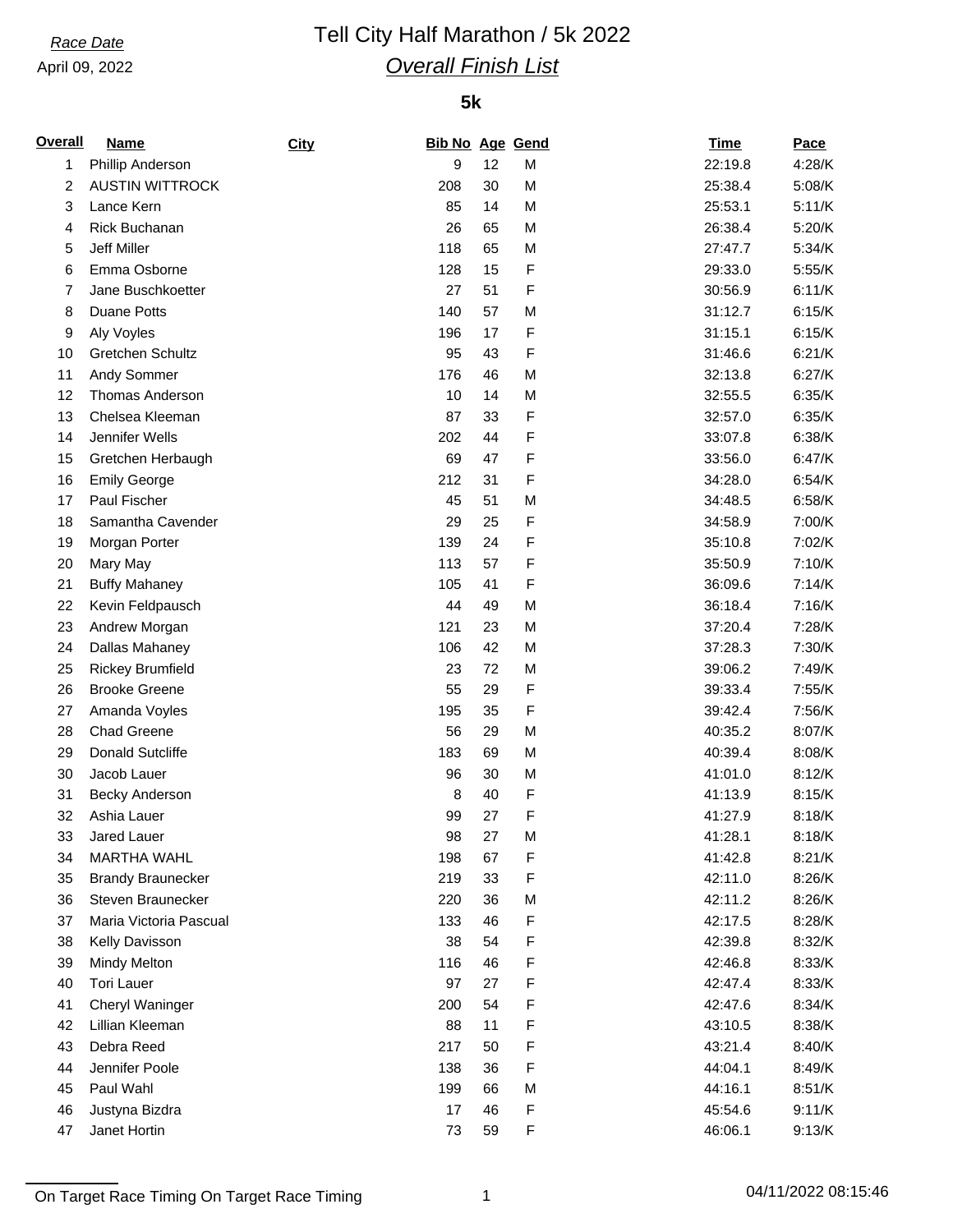April 09, 2022

# *Race Date* Tell City Half Marathon / 5k 2022 *Overall Finish List*

### **5k**

| <b>Overall</b> | <b>Name</b>              | City | <b>Bib No Age Gend</b> |    |   | <b>Time</b> | Pace     |
|----------------|--------------------------|------|------------------------|----|---|-------------|----------|
| 1              | Phillip Anderson         |      | 9                      | 12 | M | 22:19.8     | 4:28/K   |
| $\overline{2}$ | <b>AUSTIN WITTROCK</b>   |      | 208                    | 30 | M | 25:38.4     | 5:08/K   |
| 3              | Lance Kern               |      | 85                     | 14 | M | 25:53.1     | 5:11/K   |
| 4              | Rick Buchanan            |      | 26                     | 65 | M | 26:38.4     | $5:20/K$ |
| 5              | Jeff Miller              |      | 118                    | 65 | M | 27:47.7     | 5:34/K   |
| 6              | Emma Osborne             |      | 128                    | 15 | F | 29:33.0     | 5:55/K   |
| 7              | Jane Buschkoetter        |      | 27                     | 51 | F | 30:56.9     | 6:11/K   |
| 8              | <b>Duane Potts</b>       |      | 140                    | 57 | M | 31:12.7     | 6:15/K   |
| 9              | Aly Voyles               |      | 196                    | 17 | F | 31:15.1     | 6:15/K   |
| 10             | Gretchen Schultz         |      | 95                     | 43 | F | 31:46.6     | 6:21/K   |
| 11             | Andy Sommer              |      | 176                    | 46 | M | 32:13.8     | 6:27/K   |
| 12             | <b>Thomas Anderson</b>   |      | 10                     | 14 | M | 32:55.5     | 6:35/K   |
| 13             | Chelsea Kleeman          |      | 87                     | 33 | F | 32:57.0     | 6:35/K   |
| 14             | Jennifer Wells           |      | 202                    | 44 | F | 33:07.8     | 6:38/K   |
| 15             | Gretchen Herbaugh        |      | 69                     | 47 | F | 33:56.0     | 6:47/K   |
| 16             | <b>Emily George</b>      |      | 212                    | 31 | F | 34:28.0     | 6:54/K   |
| 17             | Paul Fischer             |      | 45                     | 51 | M | 34:48.5     | 6:58/K   |
| 18             | Samantha Cavender        |      | 29                     | 25 | F | 34:58.9     | 7:00/K   |
| 19             | Morgan Porter            |      | 139                    | 24 | F | 35:10.8     | 7:02/K   |
| 20             | Mary May                 |      | 113                    | 57 | F | 35:50.9     | 7:10/K   |
| 21             | <b>Buffy Mahaney</b>     |      | 105                    | 41 | F | 36:09.6     | 7:14/K   |
| 22             | Kevin Feldpausch         |      | 44                     | 49 | M | 36:18.4     | 7:16/K   |
| 23             | Andrew Morgan            |      | 121                    | 23 | M | 37:20.4     | 7:28/K   |
| 24             | Dallas Mahaney           |      | 106                    | 42 | M | 37:28.3     | 7:30/K   |
| 25             | <b>Rickey Brumfield</b>  |      | 23                     | 72 | M | 39:06.2     | 7:49/K   |
| 26             | <b>Brooke Greene</b>     |      | 55                     | 29 | F | 39:33.4     | 7:55/K   |
| 27             | Amanda Voyles            |      | 195                    | 35 | F | 39:42.4     | 7:56/K   |
| 28             | <b>Chad Greene</b>       |      | 56                     | 29 | M | 40:35.2     | 8:07/K   |
| 29             | <b>Donald Sutcliffe</b>  |      | 183                    | 69 | M | 40:39.4     | 8:08/K   |
| 30             | Jacob Lauer              |      | 96                     | 30 | M | 41:01.0     | 8:12/K   |
| 31             | <b>Becky Anderson</b>    |      | 8                      | 40 | F | 41:13.9     | 8:15/K   |
| 32             | Ashia Lauer              |      | 99                     | 27 | F | 41:27.9     | 8:18/K   |
| 33             | Jared Lauer              |      | 98                     | 27 | M | 41:28.1     | 8:18/K   |
| 34             | <b>MARTHA WAHL</b>       |      | 198                    | 67 | F | 41:42.8     | 8:21/K   |
| 35             | <b>Brandy Braunecker</b> |      | 219                    | 33 | F | 42:11.0     | 8:26/K   |
| 36             | Steven Braunecker        |      | 220                    | 36 | M | 42:11.2     | 8:26/K   |
| 37             | Maria Victoria Pascual   |      | 133                    | 46 | F | 42:17.5     | 8:28/K   |
| 38             | Kelly Davisson           |      | 38                     | 54 | F | 42:39.8     | 8:32/K   |
| 39             | <b>Mindy Melton</b>      |      | 116                    | 46 | F | 42:46.8     | 8:33/K   |
| 40             | <b>Tori Lauer</b>        |      | 97                     | 27 | F | 42:47.4     | 8:33/K   |
| 41             | Cheryl Waninger          |      | 200                    | 54 | F | 42:47.6     | 8:34/K   |
| 42             | Lillian Kleeman          |      | 88                     | 11 | F | 43:10.5     | 8:38/K   |
| 43             | Debra Reed               |      | 217                    | 50 | F | 43:21.4     | 8:40/K   |
| 44             | Jennifer Poole           |      | 138                    | 36 | F | 44:04.1     | 8:49/K   |
| 45             | Paul Wahl                |      | 199                    | 66 | M | 44:16.1     | 8:51/K   |
| 46             | Justyna Bizdra           |      | 17                     | 46 | F | 45:54.6     | 9:11/K   |
| 47             | Janet Hortin             |      | 73                     | 59 | F | 46:06.1     | 9:13/K   |

On Target Race Timing On Target Race Timing 1 04/11/2022 08:15:46